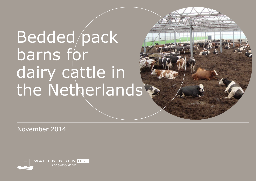# Bedded pack barns for dairy cattle in the Netherlands

November 2014

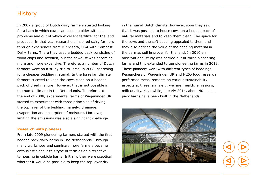## **History**

In 2007 a group of Dutch dairy farmers started looking for a barn in which cows can become older without problems and out of which excellent fertilizer for the land proceeds. In that year researchers inspired dairy farmers through experiences from Minnesota, USA with Compost Dairy Barns. There they used a bedded pack consisting of wood chips and sawdust, but the sawdust was becoming more and more expensive. Therefore, a number of Dutch farmers went on a study trip to Israel in 2008, searching for a cheaper bedding material. In the Israelian climate farmers succeed to keep the cows clean on a bedded pack of dried manure. However, that is not possible in the humid climate in the Netherlands. Therefore, at the end of 2008, experimental farms of Wageningen UR started to experiment with three principles of drying the top layer of the bedding, namely: drainage, evaporation and absorption of moisture. Moreover, limiting the emissions was also a significant challenge.

#### **Research with pioneers**

From late 2009 pioneering farmers started with the first bedded pack dairy barns in The Netherlands. Through many workshops and seminars more farmers became enthusiastic about this type of farm as an alternative to housing in cubicle barns. Initially, they were sceptical whether it would be possible to keep the top layer dry

in the humid Dutch climate, however, soon they saw that it was possible to house cows on a bedded pack of natural materials and to keep them clean. The space for the cows and the soft bedding appealed to them and they also noticed the value of the bedding material in the barn as soil improver for the land. In 2010 an observational study was carried out at three pioneering farms and this extended to ten pioneering farms in 2013. These pioneers work with different types of beddings. Researchers of Wageningen UR and NIZO food research performed measurements on various sustainability aspects at these farms e.g. welfare, health, emissions, milk quality. Meanwhile, in early 2014, about 40 bedded pack barns have been built in the Netherlands.

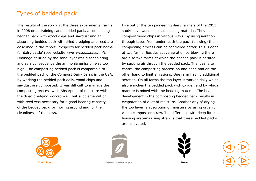## Types of bedded pack

The results of the study at the three experimental farms in 2008 on a draining sand bedded pack, a composting bedded pack with wood chips and sawdust and an absorbing bedded pack with dried dredging and reed are described in the report 'Prospects for bedded pack barns for dairy cattle' (see website *[www.vrijloopstallen.nl](http://www.vrijloopstallen.nl/documenten/Prospects_for_bedded_pack_barns_for_dairy_cattle.pdf )*). Drainage of urine by the sand layer was disappointing and as a consequence the ammonia emission was too high. The composting bedded pack is comparable to the bedded pack of the Compost Dairy Barns in the USA. By working the bedded pack daily, wood chips and sawdust are composted. It was difficult to manage the composting process well. Absorption of moisture with the dried dredging worked well, but supplementation with reed was necessary for a good bearing capacity of the bedded pack for moving around and for the cleanliness of the cows.

Five out of the ten pioneering dairy farmers of the 2013 study have wood chips as bedding material. They compost wood chips in various ways. By using aeration through tubes from underneath the pack (blowing) the composting process can be controlled better. This is done at two farms. Besides active aeration by blowing there are also two farms at which the bedded pack is aerated by sucking air through the bedded pack. The idea is to control the composting process on one hand and on the other hand to limit emissions. One farm has no additional aeration. On all farms the top layer is worked daily which also enriches the bedded pack with oxygen and by which manure is mixed with the bedding material. The heat development in the composting bedded pack results in evaporation of a lot of moisture. Another way of drying the top layer is absorption of moisture by using organic waste compost or straw. The difference with deep litter housing systems using straw is that these bedded packs are cultivated.



**Wood chips Organic waste compost Straw**

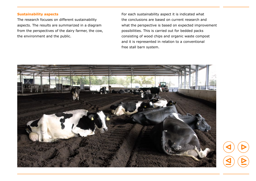#### **Sustainability aspects**

The research focuses on different sustainability aspects. The results are summarized in a diagram from the perspectives of the dairy farmer, the cow, the environment and the public.

For each sustainability aspect it is indicated what the conclusions are based on current research and what the perspective is based on expected improvement possibilities. This is carried out for bedded packs consisting of wood chips and organic waste compost and it is represented in relation to a conventional free stall barn system.

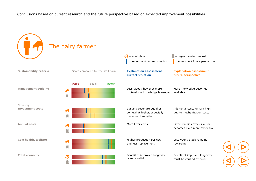Conclusions based on current research and the future perspective based on expected improvement possibilities

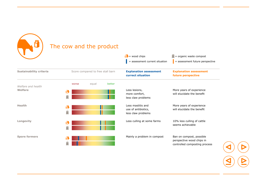

| Ĩ                              | The cow and the product              | $\gamma$ = wood chips<br>= assessment current situation        | $\blacksquare$ = organic waste compost<br>= assessment future perspective              |
|--------------------------------|--------------------------------------|----------------------------------------------------------------|----------------------------------------------------------------------------------------|
| <b>Sustainability criteria</b> | Score compared to free stall barn    | <b>Explanation assessment</b><br>currect situation             | <b>Explanation assessment</b><br>future perspective                                    |
| Welfare and health<br>Welfare  | better<br>equal<br>worse<br>$\delta$ | Less lesions,<br>more comfort,<br>less claw problems           | More years of experience<br>will elucidate the benefit                                 |
| <b>Health</b>                  | $\mathbf{G}$                         | Less mastitis and<br>use of antibiotics,<br>less claw problems | More years of experience<br>will elucidate the benefit                                 |
| Longevity                      | တိ                                   | Less culling at some farms                                     | 10% less culling of cattle<br>seems achievable                                         |
| <b>Spore formers</b>           |                                      | Mainly a problem in compost                                    | Ban on compost, possible<br>perspective wood chips in<br>controlled composting process |

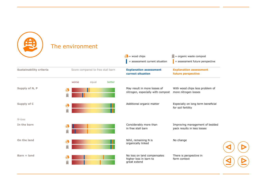

## The environment

|                                |                                   | $\gamma$ = wood chips<br>= assessment current situation               | $\Box$ = organic waste compost<br>= assessment future perspective |
|--------------------------------|-----------------------------------|-----------------------------------------------------------------------|-------------------------------------------------------------------|
| <b>Sustainability criteria</b> | Score compared to free stall barn | <b>Explanation assessment</b><br>currect situation                    | <b>Explanation assessment</b><br>future perspective               |
|                                | better<br>equal<br>worse          |                                                                       |                                                                   |
| Supply of N, P                 | $\delta$<br>Г                     | May result in more losses of<br>nitrogen, especially with compost     | With wood chips less problem of<br>more nitrogen losses           |
| <b>Supply of C</b>             | $\partial\!\!\!\!B$               | Additional organic matter                                             | Especially on long term beneficial<br>for soil fertility          |
| $N$ - $loss$                   |                                   |                                                                       |                                                                   |
| In the barn                    | $\partial$                        | Considerably more than<br>in free stall barn                          | Improving management of bedded<br>pack results in less losses     |
| On the land                    | $\partial\!{\bf S}$               | Nihil, remaining N is<br>organically linked                           | No change                                                         |
| Barn + land                    | $\delta$                          | No loss on land compensates<br>higher loss in barn to<br>great extend | There is perspective in<br>farm context                           |

 $\triangleright$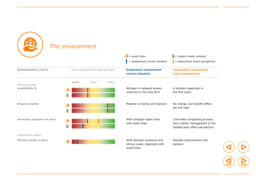

## The environment

|                          |                                   |        | $\gamma$ = wood chips                                                     | $\Box$ = organic waste compost                                                                    |
|--------------------------|-----------------------------------|--------|---------------------------------------------------------------------------|---------------------------------------------------------------------------------------------------|
|                          |                                   |        | = assessment current situation                                            | = assessment future perspective                                                                   |
| Sustainability criteria  | Score compared to free stall barn |        | <b>Explanation assessment</b><br>currect situation                        | <b>Explanation assessment</b><br>future perspective                                               |
| Manure quality           | equal<br>worse                    | better |                                                                           |                                                                                                   |
| <b>Availability N</b>    | $\boldsymbol{\vartheta}$          |        | Nitrogen is released slower,<br>improves in the long term                 | A problem especially in<br>the first years                                                        |
| <b>Organic matter</b>    | $\boldsymbol{\vartheta}$          |        | Material is mainly soil improver                                          | No change, but benefit differs<br>per soil type                                                   |
| Ammonia emission in barn | $\partial\mathcal{B}$             |        | With compost higher than<br>with wood chips                               | Controlled composting process<br>and a better management of the<br>bedded pack offers perspective |
| Greenhouse gases         |                                   |        |                                                                           |                                                                                                   |
| Nitrous oxide in barn    | ₩                                 |        | Shift between ammonia and<br>nitrous oxide, especially with<br>wood chips | Possible improvement with<br>aeration                                                             |

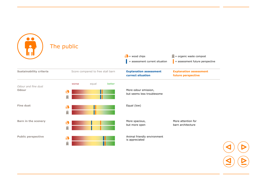|                                     | The public                                                  | $\gamma$ = wood chips<br>= assessment current situation | $\Box$ = organic waste compost<br>= assessment future perspective |  |
|-------------------------------------|-------------------------------------------------------------|---------------------------------------------------------|-------------------------------------------------------------------|--|
| Sustainability criteria             | Score compared to free stall barn                           | <b>Explanation assessment</b><br>currect situation      | <b>Explanation assessment</b><br>future perspective               |  |
| Odour and fine dust<br><b>Odour</b> | better<br>equal<br>worse<br>$\boldsymbol{\mathcal{B}}$<br>î | More odour emission,<br>but seems less troublesome      |                                                                   |  |
| <b>Fine dust</b>                    | $\partial\!\!\!\!-\!\!\!\partial\!\!\!\!-$<br>î             | Equal (low)                                             |                                                                   |  |
| <b>Barn in the scenery</b>          | $\boldsymbol{\mathcal{B}}$<br>Г                             | More spacious,<br>but more open                         | More attention for<br>barn architecture                           |  |
| <b>Public perspective</b>           | $\boldsymbol{\mathcal{B}}$<br>Ê                             | Animal friendly environment<br>is appreciated           |                                                                   |  |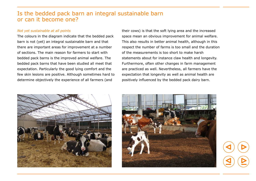## Is the bedded pack barn an integral sustainable barn or can it become one?

#### *Not yet sustainable at all points*

The colours in the diagram indicate that the bedded pack barn is not (yet) an integral sustainable barn and that there are important areas for improvement at a number of sections. The main reason for farmers to start with bedded pack barns is the improved animal welfare. The bedded pack barns that have been studied all meet that expectation. Particularly the good lying comfort and the few skin lesions are positive. Although sometimes hard to determine objectively the experience of all farmers (and

their cows) is that the soft lying area and the increased space mean an obvious improvement for animal welfare. This also results in better animal health, although in this respect the number of farms is too small and the duration of the measurements is too short to make harsh statements about for instance claw health and longevity. Furthermore, often other changes in farm management are practiced as well. Nevertheless, all farmers have the expectation that longevity as well as animal health are positively influenced by the bedded pack dairy barn.



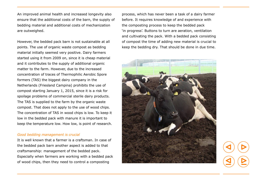An improved animal health and increased longevity also ensure that the additional costs of the barn, the supply of bedding material and additional costs of mechanization are outweighed.

However, the bedded pack barn is not sustainable at all points. The use of organic waste compost as bedding material initially seemed very positive. Dairy farmers started using it from 2009 on, since it is cheap material and it contributes to the supply of additional organic matter to the farm. However, due to the increased concentration of traces of Thermophilic Aerobic Spore formers (TAS) the biggest dairy company in the Netherlands (Friesland Campina) prohibits the use of compost starting January 1, 2015, since it is a risk for spoilage problems of commercial sterile dairy products. The TAS is supplied to the farm by the organic waste compost. That does not apply to the use of wood chips. The concentration of TAS in wood chips is low. To keep it low in the bedded pack with manure it is important to keep the temperature low. How low, is point of research.

#### *Good bedding management is crucial*

It is well known that a farmer is a craftsman. In case of the bedded pack barn another aspect is added to that craftsmanship: management of the bedded pack. Especially when farmers are working with a bedded pack of wood chips, then they need to control a composting

process, which has never been a task of a dairy farmer before. It requires knowledge of and experience with the composting process to keep the bedded pack 'in progress'. Buttons to turn are aeration, ventilation and cultivating the pack. With a bedded pack consisting of compost the time of adding new material is crucial to keep the bedding dry. That should be done in due time.

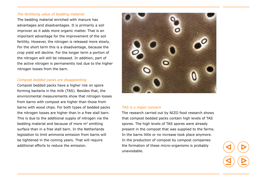#### *The fertilising value of bedding material*

The bedding material enriched with manure has advantages and disadvantages. It is primarily a soil improver as it adds more organic matter. That is an important advantage for the improvement of the soil fertility. However, the nitrogen is released more slowly. For the short term this is a disadvantage, because the crop yield will decline. For the longer term a portion of the nitrogen will still be released. In addition, part of the active nitrogen is permanently lost due to the higher nitrogen losses from the barn.

#### *Compost bedded packs are disappointing*

Compost bedded packs have a higher risk on spore forming bacteria in the milk (TAS). Besides that, the environmental measurements show that nitrogen losses from barns with compost are higher than those from barns with wood chips. For both types of bedded packs the nitrogen losses are higher than in a free stall barn. This is due to the additional supply of nitrogen via the bedding material and because of more  $m<sup>2</sup>$  emitting surface than in a free stall barn. In the Netherlands legislation to limit ammonia emission from barns will be tightened in the coming years. That will require additional efforts to reduce the emission.



#### *TAS is a major concern*

The research carried out by NIZO food research shows that compost bedded packs contain high levels of TAS spores. The high levels of TAS spores were already present in the compost that was supplied to the farms. In the barns little or no increase took place anymore. In the production of compost by compost companies the formation of these micro-organisms is probably unavoidable.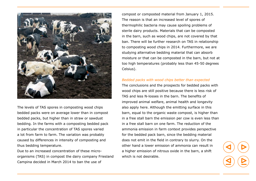

The levels of TAS spores in composting wood chips bedded packs were on average lower than in compost bedded packs, but higher than in straw or sawdust bedding. In the farms with a composting bedded pack in particular the concentration of TAS spores varied a lot from farm to farm. The variation was probably caused by differences in intensity of composting and thus bedding temperature.

Due to an increased concentration of these microorganisms (TAS) in compost the dairy company Friesland Campina decided in March 2014 to ban the use of

compost or composted material from January 1, 2015. The reason is that an increased level of spores of thermophilic bacteria may cause spoiling problems of sterile dairy products. Materials that can be composted in the barn, such as wood chips, are not covered by that ban. There will be further research on TAS in relationship to composting wood chips in 2014. Furthermore, we are studying alternative bedding material that can absorb moisture or that can be composted in the barn, but not at too high temperatures (probably less than 45-50 degrees Celsius).

#### *Bedded packs with wood chips better than expected*

The conclusions and the prospects for bedded packs with wood chips are still positive because there is less risk of TAS and less N-losses in the barn. The benefits of improved animal welfare, animal health and longevity also apply here. Although the emitting surface in this barn, equal to the organic waste compost, is higher than in a free stall barn the emission per cow is even less than in a free stall barn on one farm. The reduction of the ammonia emission in farm context provides perspective for the bedded pack barn, since the bedding material does not emit in the field in contrary to slurry. On the other hand a lower emission of ammonia can result in a higher emission of nitrous oxide in the barn, a shift which is not desirable.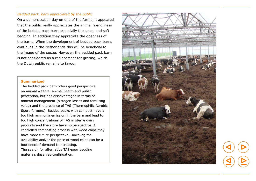#### *Bedded pack barn appreciated by the public*

On a demonstration day on one of the farms, it appeared that the public really appreciates the animal friendliness of the bedded pack barn, especially the space and soft bedding. In addition they appreciate the openness of the barns. When the development of bedded pack barns continues in the Netherlands this will be beneficial to the image of the sector. However, the bedded pack barn is not considered as a replacement for grazing, which the Dutch public remains to favour.

#### **Summarized**

The bedded pack barn offers good perspective on animal welfare, animal health and public perception, but has disadvantages in terms of mineral management (nitrogen losses and fertilising value) and the presence of TAS (Thermophilic Aerobic Spore formers). Bedded packs with compost have a too high ammonia emission in the barn and lead to too high concentrations of TAS in sterile dairy products and therefore have no perspective. A controlled composting process with wood chips may have more future perspective. However, the availability and/or the price of wood chips can be a bottleneck if demand is increasing. The search for alternative TAS-poor bedding materials deserves continuation.